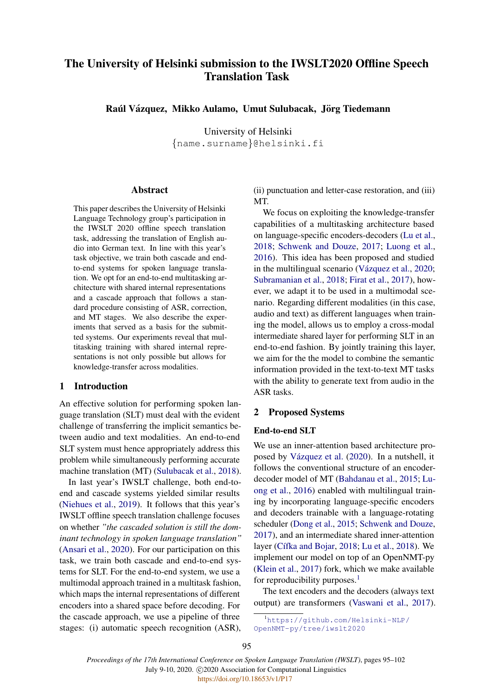# The University of Helsinki submission to the IWSLT2020 Offline Speech Translation Task

Raúl Vázquez, Mikko Aulamo, Umut Sulubacak, Jörg Tiedemann

University of Helsinki {name.surname}@helsinki.fi

#### Abstract

This paper describes the University of Helsinki Language Technology group's participation in the IWSLT 2020 offline speech translation task, addressing the translation of English audio into German text. In line with this year's task objective, we train both cascade and endto-end systems for spoken language translation. We opt for an end-to-end multitasking architecture with shared internal representations and a cascade approach that follows a standard procedure consisting of ASR, correction, and MT stages. We also describe the experiments that served as a basis for the submitted systems. Our experiments reveal that multitasking training with shared internal representations is not only possible but allows for knowledge-transfer across modalities.

## 1 Introduction

An effective solution for performing spoken language translation (SLT) must deal with the evident challenge of transferring the implicit semantics between audio and text modalities. An end-to-end SLT system must hence appropriately address this problem while simultaneously performing accurate machine translation (MT) [\(Sulubacak et al.,](#page-6-0) [2018\)](#page-6-0).

In last year's IWSLT challenge, both end-toend and cascade systems yielded similar results [\(Niehues et al.,](#page-6-1) [2019\)](#page-6-1). It follows that this year's IWSLT offline speech translation challenge focuses on whether *"the cascaded solution is still the dominant technology in spoken language translation"* [\(Ansari et al.,](#page-5-0) [2020\)](#page-5-0). For our participation on this task, we train both cascade and end-to-end systems for SLT. For the end-to-end system, we use a multimodal approach trained in a multitask fashion, which maps the internal representations of different encoders into a shared space before decoding. For the cascade approach, we use a pipeline of three stages: (i) automatic speech recognition (ASR),

(ii) punctuation and letter-case restoration, and (iii) MT.

We focus on exploiting the knowledge-transfer capabilities of a multitasking architecture based on language-specific encoders-decoders [\(Lu et al.,](#page-6-2) [2018;](#page-6-2) [Schwenk and Douze,](#page-6-3) [2017;](#page-6-3) [Luong et al.,](#page-6-4) [2016\)](#page-6-4). This idea has been proposed and studied in the multilingual scenario (Vázquez et al.,  $2020$ ; [Subramanian et al.,](#page-6-5) [2018;](#page-6-5) [Firat et al.,](#page-6-6) [2017\)](#page-6-6), however, we adapt it to be used in a multimodal scenario. Regarding different modalities (in this case, audio and text) as different languages when training the model, allows us to employ a cross-modal intermediate shared layer for performing SLT in an end-to-end fashion. By jointly training this layer, we aim for the the model to combine the semantic information provided in the text-to-text MT tasks with the ability to generate text from audio in the ASR tasks.

#### <span id="page-0-1"></span>2 Proposed Systems

#### End-to-end SLT

We use an inner-attention based architecture pro-posed by Vázquez et al. [\(2020\)](#page-7-0). In a nutshell, it follows the conventional structure of an encoderdecoder model of MT [\(Bahdanau et al.,](#page-5-1) [2015;](#page-5-1) [Lu](#page-6-4)[ong et al.,](#page-6-4) [2016\)](#page-6-4) enabled with multilingual training by incorporating language-specific encoders and decoders trainable with a language-rotating scheduler [\(Dong et al.,](#page-6-7) [2015;](#page-6-7) [Schwenk and Douze,](#page-6-3) [2017\)](#page-6-3), and an intermediate shared inner-attention layer (Cífka and Bojar, [2018;](#page-5-2) [Lu et al.,](#page-6-2) [2018\)](#page-6-2). We implement our model on top of an OpenNMT-py [\(Klein et al.,](#page-6-8) [2017\)](#page-6-8) fork, which we make available for reproducibility purposes.<sup>[1](#page-0-0)</sup>

The text encoders and the decoders (always text output) are transformers [\(Vaswani et al.,](#page-6-9) [2017\)](#page-6-9).

<span id="page-0-0"></span><sup>1</sup>[https://github.com/Helsinki-NLP/](https://github.com/Helsinki-NLP/OpenNMT-py/tree/iwslt2020) [OpenNMT-py/tree/iwslt2020](https://github.com/Helsinki-NLP/OpenNMT-py/tree/iwslt2020)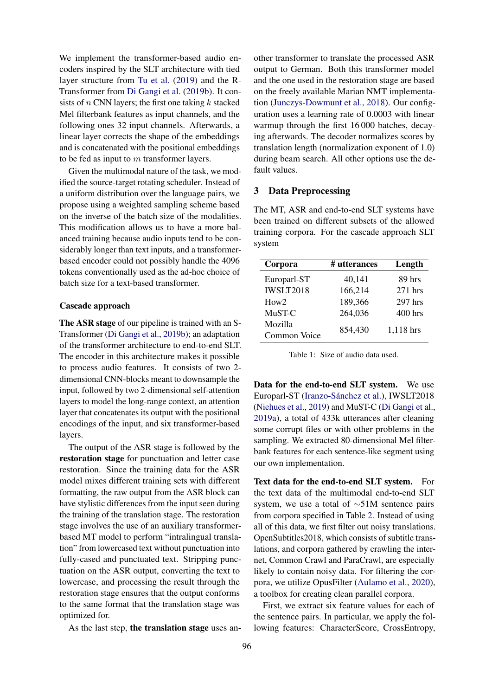We implement the transformer-based audio encoders inspired by the SLT architecture with tied layer structure from [Tu et al.](#page-6-10) [\(2019\)](#page-6-10) and the R-Transformer from [Di Gangi et al.](#page-5-3) [\(2019b\)](#page-5-3). It consists of  $n$  CNN layers; the first one taking  $k$  stacked Mel filterbank features as input channels, and the following ones 32 input channels. Afterwards, a linear layer corrects the shape of the embeddings and is concatenated with the positional embeddings to be fed as input to  $m$  transformer layers.

Given the multimodal nature of the task, we modified the source-target rotating scheduler. Instead of a uniform distribution over the language pairs, we propose using a weighted sampling scheme based on the inverse of the batch size of the modalities. This modification allows us to have a more balanced training because audio inputs tend to be considerably longer than text inputs, and a transformerbased encoder could not possibly handle the 4096 tokens conventionally used as the ad-hoc choice of batch size for a text-based transformer.

#### Cascade approach

The ASR stage of our pipeline is trained with an S-Transformer [\(Di Gangi et al.,](#page-5-3) [2019b\)](#page-5-3); an adaptation of the transformer architecture to end-to-end SLT. The encoder in this architecture makes it possible to process audio features. It consists of two 2 dimensional CNN-blocks meant to downsample the input, followed by two 2-dimensional self-attention layers to model the long-range context, an attention layer that concatenates its output with the positional encodings of the input, and six transformer-based layers.

The output of the ASR stage is followed by the restoration stage for punctuation and letter case restoration. Since the training data for the ASR model mixes different training sets with different formatting, the raw output from the ASR block can have stylistic differences from the input seen during the training of the translation stage. The restoration stage involves the use of an auxiliary transformerbased MT model to perform "intralingual translation" from lowercased text without punctuation into fully-cased and punctuated text. Stripping punctuation on the ASR output, converting the text to lowercase, and processing the result through the restoration stage ensures that the output conforms to the same format that the translation stage was optimized for.

As the last step, the translation stage uses an-

other transformer to translate the processed ASR output to German. Both this transformer model and the one used in the restoration stage are based on the freely available Marian NMT implementation [\(Junczys-Dowmunt et al.,](#page-6-11) [2018\)](#page-6-11). Our configuration uses a learning rate of 0.0003 with linear warmup through the first 16 000 batches, decaying afterwards. The decoder normalizes scores by translation length (normalization exponent of 1.0) during beam search. All other options use the default values.

## <span id="page-1-0"></span>3 Data Preprocessing

The MT, ASR and end-to-end SLT systems have been trained on different subsets of the allowed training corpora. For the cascade approach SLT system

| Corpora                 | # utterances | Length    |
|-------------------------|--------------|-----------|
| Europarl-ST             | 40,141       | 89 hrs    |
| IWSLT2018               | 166,214      | $271$ hrs |
| How2                    | 189,366      | 297 hrs   |
| MuST-C                  | 264,036      | 400 hrs   |
| Mozilla<br>Common Voice | 854,430      | 1,118 hrs |
|                         |              |           |

Table 1: Size of audio data used.

Data for the end-to-end SLT system. We use Europarl-ST (Iranzo-Sánchez et al.), IWSLT2018 [\(Niehues et al.,](#page-6-1) [2019\)](#page-6-1) and MuST-C [\(Di Gangi et al.,](#page-5-4) [2019a\)](#page-5-4), a total of 433k utterances after cleaning some corrupt files or with other problems in the sampling. We extracted 80-dimensional Mel filterbank features for each sentence-like segment using our own implementation.

Text data for the end-to-end SLT system. For the text data of the multimodal end-to-end SLT system, we use a total of ∼51M sentence pairs from corpora specified in Table [2.](#page-2-0) Instead of using all of this data, we first filter out noisy translations. OpenSubtitles2018, which consists of subtitle translations, and corpora gathered by crawling the internet, Common Crawl and ParaCrawl, are especially likely to contain noisy data. For filtering the corpora, we utilize OpusFilter [\(Aulamo et al.,](#page-5-5) [2020\)](#page-5-5), a toolbox for creating clean parallel corpora.

First, we extract six feature values for each of the sentence pairs. In particular, we apply the following features: CharacterScore, CrossEntropy,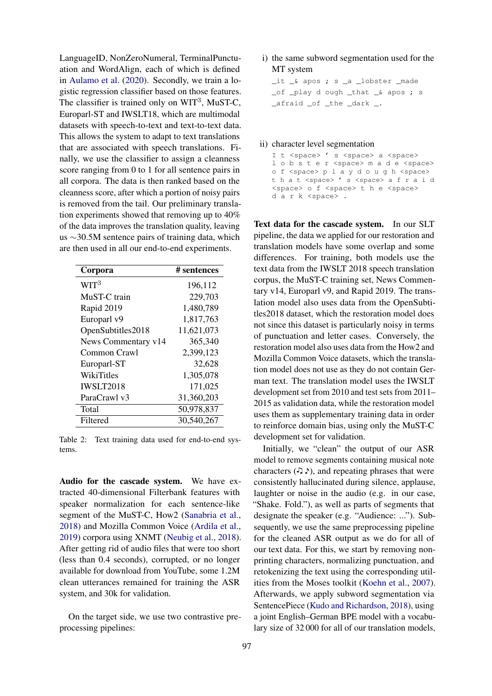LanguageID, NonZeroNumeral, TerminalPunctuation and WordAlign, each of which is defined in [Aulamo et al.](#page-5-5) [\(2020\)](#page-5-5). Secondly, we train a logistic regression classifier based on those features. The classifier is trained only on  $WIT<sup>3</sup>$ , MuST-C, Europarl-ST and IWSLT18, which are multimodal datasets with speech-to-text and text-to-text data. This allows the system to adapt to text translations that are associated with speech translations. Finally, we use the classifier to assign a cleanness score ranging from 0 to 1 for all sentence pairs in all corpora. The data is then ranked based on the cleanness score, after which a portion of noisy pairs is removed from the tail. Our preliminary translation experiments showed that removing up to 40% of the data improves the translation quality, leaving us ∼30.5M sentence pairs of training data, which are then used in all our end-to-end experiments.

<span id="page-2-0"></span>

| Corpora             | # sentences |  |  |
|---------------------|-------------|--|--|
| WIT <sup>3</sup>    | 196,112     |  |  |
| MuST-C train        | 229,703     |  |  |
| Rapid 2019          | 1,480,789   |  |  |
| Europarl v9         | 1,817,763   |  |  |
| OpenSubtitles2018   | 11,621,073  |  |  |
| News Commentary v14 | 365,340     |  |  |
| Common Crawl        | 2,399,123   |  |  |
| Europarl-ST         | 32,628      |  |  |
| WikiTitles          | 1,305,078   |  |  |
| <b>IWSIT2018</b>    | 171,025     |  |  |
| ParaCrawl v3        | 31,360,203  |  |  |
| Total               | 50,978,837  |  |  |
| Filtered            | 30,540,267  |  |  |

Table 2: Text training data used for end-to-end systems.

Audio for the cascade system. We have extracted 40-dimensional Filterbank features with speaker normalization for each sentence-like segment of the MuST-C, How2 [\(Sanabria et al.,](#page-6-13) [2018\)](#page-6-13) and Mozilla Common Voice [\(Ardila et al.,](#page-5-6) [2019\)](#page-5-6) corpora using XNMT [\(Neubig et al.,](#page-6-14) [2018\)](#page-6-14). After getting rid of audio files that were too short (less than 0.4 seconds), corrupted, or no longer available for download from YouTube, some 1.2M clean utterances remained for training the ASR system, and 30k for validation.

On the target side, we use two contrastive preprocessing pipelines:

i) the same subword segmentation used for the MT system

\_it \_& apos ; s \_a \_lobster \_made \_of \_play d ough \_that \_& apos ; s \_afraid \_of \_the \_dark \_.

#### ii) character level segmentation

I t <space> ' s <space> a <space> l o b s t e r <space> m a d e <space> o f <space> p l a y d o u g h <space> t h a t <space> ' s <space> a f r a i d <space> o f <space> t h e <space> d a r k <space> .

Text data for the cascade system. In our SLT pipeline, the data we applied for our restoration and translation models have some overlap and some differences. For training, both models use the text data from the IWSLT 2018 speech translation corpus, the MuST-C training set, News Commentary v14, Europarl v9, and Rapid 2019. The translation model also uses data from the OpenSubtitles2018 dataset, which the restoration model does not since this dataset is particularly noisy in terms of punctuation and letter cases. Conversely, the restoration model also uses data from the How2 and Mozilla Common Voice datasets, which the translation model does not use as they do not contain German text. The translation model uses the IWSLT development set from 2010 and test sets from 2011– 2015 as validation data, while the restoration model uses them as supplementary training data in order to reinforce domain bias, using only the MuST-C development set for validation.

Initially, we "clean" the output of our ASR model to remove segments containing musical note characters  $( \cdot )$ , and repeating phrases that were consistently hallucinated during silence, applause, laughter or noise in the audio (e.g. in our case, "Shake. Fold."), as well as parts of segments that designate the speaker (e.g. "Audience: ..."). Subsequently, we use the same preprocessing pipeline for the cleaned ASR output as we do for all of our text data. For this, we start by removing nonprinting characters, normalizing punctuation, and retokenizing the text using the corresponding utilities from the Moses toolkit [\(Koehn et al.,](#page-6-15) [2007\)](#page-6-15). Afterwards, we apply subword segmentation via SentencePiece [\(Kudo and Richardson,](#page-6-16) [2018\)](#page-6-16), using a joint English–German BPE model with a vocabulary size of 32 000 for all of our translation models,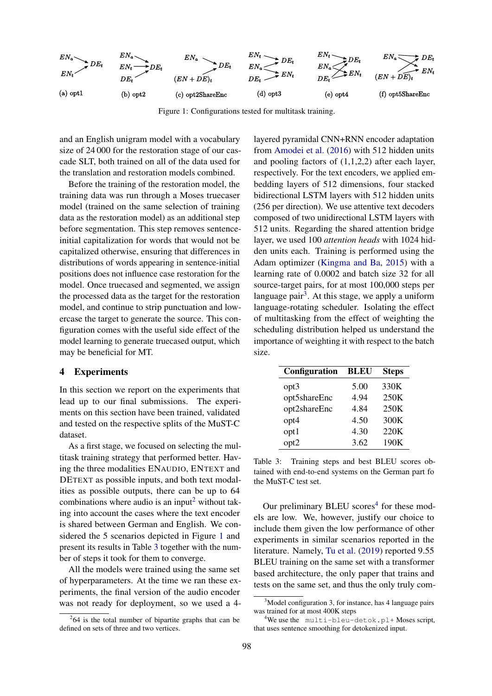<span id="page-3-1"></span>

Figure 1: Configurations tested for multitask training.

and an English unigram model with a vocabulary size of 24 000 for the restoration stage of our cascade SLT, both trained on all of the data used for the translation and restoration models combined.

Before the training of the restoration model, the training data was run through a Moses truecaser model (trained on the same selection of training data as the restoration model) as an additional step before segmentation. This step removes sentenceinitial capitalization for words that would not be capitalized otherwise, ensuring that differences in distributions of words appearing in sentence-initial positions does not influence case restoration for the model. Once truecased and segmented, we assign the processed data as the target for the restoration model, and continue to strip punctuation and lowercase the target to generate the source. This configuration comes with the useful side effect of the model learning to generate truecased output, which may be beneficial for MT.

### 4 Experiments

In this section we report on the experiments that lead up to our final submissions. The experiments on this section have been trained, validated and tested on the respective splits of the MuST-C dataset.

As a first stage, we focused on selecting the multitask training strategy that performed better. Having the three modalities ENAUDIO, ENTEXT and DETEXT as possible inputs, and both text modalities as possible outputs, there can be up to 64 combinations where audio is an input<sup>[2](#page-3-0)</sup> without taking into account the cases where the text encoder is shared between German and English. We considered the 5 scenarios depicted in Figure [1](#page-3-1) and present its results in Table [3](#page-3-2) together with the number of steps it took for them to converge.

All the models were trained using the same set of hyperparameters. At the time we ran these experiments, the final version of the audio encoder was not ready for deployment, so we used a 4-

layered pyramidal CNN+RNN encoder adaptation from [Amodei et al.](#page-5-7) [\(2016\)](#page-5-7) with 512 hidden units and pooling factors of (1,1,2,2) after each layer, respectively. For the text encoders, we applied embedding layers of 512 dimensions, four stacked bidirectional LSTM layers with 512 hidden units (256 per direction). We use attentive text decoders composed of two unidirectional LSTM layers with 512 units. Regarding the shared attention bridge layer, we used 100 *attention heads* with 1024 hidden units each. Training is performed using the Adam optimizer [\(Kingma and Ba,](#page-6-17) [2015\)](#page-6-17) with a learning rate of 0.0002 and batch size 32 for all source-target pairs, for at most 100,000 steps per language pair<sup>[3](#page-3-3)</sup>. At this stage, we apply a uniform language-rotating scheduler. Isolating the effect of multitasking from the effect of weighting the scheduling distribution helped us understand the importance of weighting it with respect to the batch size.

<span id="page-3-2"></span>

| Configuration | <b>BLEU</b> | <b>Steps</b> |  |
|---------------|-------------|--------------|--|
| opt3          | 5.00        | 330K         |  |
| opt5shareEnc  | 4.94        | 250K         |  |
| opt2shareEnc  | 4.84        | 250K         |  |
| opt4          | 4.50        | 300K         |  |
| opt1          | 4.30        | 220K         |  |
| opt2          | 3.62        | 190K         |  |

Table 3: Training steps and best BLEU scores obtained with end-to-end systems on the German part fo the MuST-C test set.

Our preliminary BLEU scores $4$  for these models are low. We, however, justify our choice to include them given the low performance of other experiments in similar scenarios reported in the literature. Namely, [Tu et al.](#page-6-10) [\(2019\)](#page-6-10) reported 9.55 BLEU training on the same set with a transformer based architecture, the only paper that trains and tests on the same set, and thus the only truly com-

<span id="page-3-0"></span> $264$  is the total number of bipartite graphs that can be defined on sets of three and two vertices.

<span id="page-3-3"></span> $3$ Model configuration 3, for instance, has 4 language pairs was trained for at most 400K steps

<span id="page-3-4"></span> $4$ We use the multi-bleu-detok.pl+ Moses script, that uses sentence smoothing for detokenized input.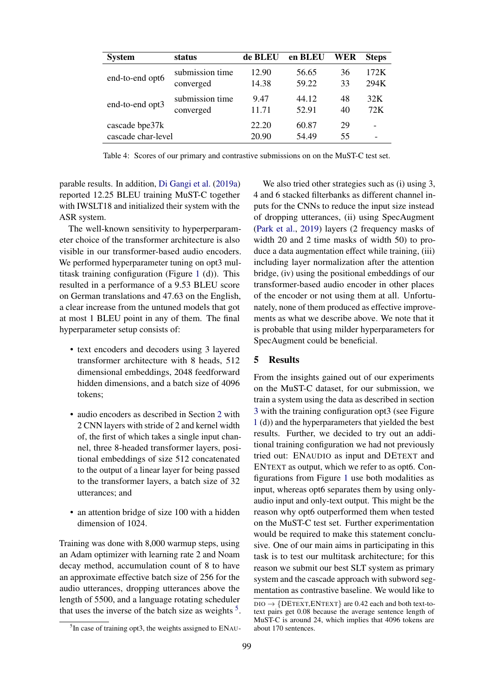<span id="page-4-1"></span>

| <b>System</b>      | status                       | de BLEU        | en BLEU        | WER      | <b>Steps</b>    |
|--------------------|------------------------------|----------------|----------------|----------|-----------------|
| end-to-end opt6    | submission time<br>converged | 12.90<br>14.38 | 56.65<br>59.22 | 36<br>33 | 172K<br>294K    |
| end-to-end opt3    | submission time<br>converged | 9.47<br>11.71  | 44.12<br>52.91 | 48<br>40 | 32K<br>72K      |
| cascade bpe37k     |                              | 22.20          | 60.87          | 29       | $\qquad \qquad$ |
| cascade char-level |                              | 20.90          | 54.49          | 55       | ۰               |

Table 4: Scores of our primary and contrastive submissions on on the MuST-C test set.

parable results. In addition, [Di Gangi et al.](#page-5-4) [\(2019a\)](#page-5-4) reported 12.25 BLEU training MuST-C together with IWSLT18 and initialized their system with the ASR system.

The well-known sensitivity to hyperperparameter choice of the transformer architecture is also visible in our transformer-based audio encoders. We performed hyperparameter tuning on opt3 multitask training configuration (Figure [1](#page-3-1) (d)). This resulted in a performance of a 9.53 BLEU score on German translations and 47.63 on the English, a clear increase from the untuned models that got at most 1 BLEU point in any of them. The final hyperparameter setup consists of:

- text encoders and decoders using 3 layered transformer architecture with 8 heads, 512 dimensional embeddings, 2048 feedforward hidden dimensions, and a batch size of 4096 tokens;
- audio encoders as described in Section [2](#page-0-1) with 2 CNN layers with stride of 2 and kernel width of, the first of which takes a single input channel, three 8-headed transformer layers, positional embeddings of size 512 concatenated to the output of a linear layer for being passed to the transformer layers, a batch size of 32 utterances; and
- an attention bridge of size 100 with a hidden dimension of 1024.

Training was done with 8,000 warmup steps, using an Adam optimizer with learning rate 2 and Noam decay method, accumulation count of 8 to have an approximate effective batch size of 256 for the audio utterances, dropping utterances above the length of 5500, and a language rotating scheduler that uses the inverse of the batch size as weights  $5$ .

We also tried other strategies such as (i) using 3, 4 and 6 stacked filterbanks as different channel inputs for the CNNs to reduce the input size instead of dropping utterances, (ii) using SpecAugment [\(Park et al.,](#page-6-18) [2019\)](#page-6-18) layers (2 frequency masks of width 20 and 2 time masks of width 50) to produce a data augmentation effect while training, (iii) including layer normalization after the attention bridge, (iv) using the positional embeddings of our transformer-based audio encoder in other places of the encoder or not using them at all. Unfortunately, none of them produced as effective improvements as what we describe above. We note that it is probable that using milder hyperparameters for SpecAugment could be beneficial.

# 5 Results

From the insights gained out of our experiments on the MuST-C dataset, for our submission, we train a system using the data as described in section [3](#page-1-0) with the training configuration opt3 (see Figure [1](#page-3-1) (d)) and the hyperparameters that yielded the best results. Further, we decided to try out an additional training configuration we had not previously tried out: ENAUDIO as input and DETEXT and ENTEXT as output, which we refer to as opt6. Configurations from Figure [1](#page-3-1) use both modalities as input, whereas opt6 separates them by using onlyaudio input and only-text output. This might be the reason why opt6 outperformed them when tested on the MuST-C test set. Further experimentation would be required to make this statement conclusive. One of our main aims in participating in this task is to test our multitask architecture; for this reason we submit our best SLT system as primary system and the cascade approach with subword segmentation as contrastive baseline. We would like to

<span id="page-4-0"></span><sup>&</sup>lt;sup>5</sup>In case of training opt3, the weights assigned to ENAU-

 $DIO \rightarrow \{DETEXT, ENTEXT\}$  are 0.42 each and both text-totext pairs get 0.08 because the average sentence length of MuST-C is around 24, which implies that 4096 tokens are about 170 sentences.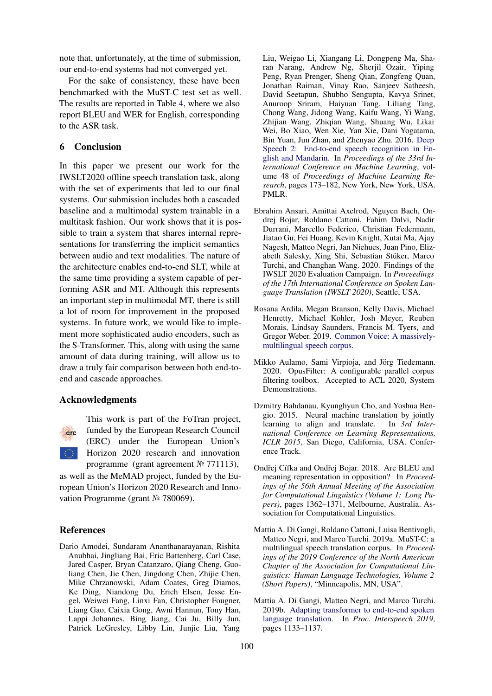note that, unfortunately, at the time of submission, our end-to-end systems had not converged yet.

For the sake of consistency, these have been benchmarked with the MuST-C test set as well. The results are reported in Table [4,](#page-4-1) where we also report BLEU and WER for English, corresponding to the ASR task.

## 6 Conclusion

In this paper we present our work for the IWSLT2020 offline speech translation task, along with the set of experiments that led to our final systems. Our submission includes both a cascaded baseline and a multimodal system trainable in a multitask fashion. Our work shows that it is possible to train a system that shares internal representations for transferring the implicit semantics between audio and text modalities. The nature of the architecture enables end-to-end SLT, while at the same time providing a system capable of performing ASR and MT. Although this represents an important step in multimodal MT, there is still a lot of room for improvement in the proposed systems. In future work, we would like to implement more sophisticated audio encoders, such as the S-Transformer. This, along with using the same amount of data during training, will allow us to draw a truly fair comparison between both end-toend and cascade approaches.

#### Acknowledgments

erc

This work is part of the FoTran project, funded by the European Research Council (ERC) under the European Union's Horizon 2020 research and innovation programme (grant agreement № 771113),

as well as the MeMAD project, funded by the European Union's Horizon 2020 Research and Innovation Programme (grant № 780069).

#### References

<span id="page-5-7"></span>Dario Amodei, Sundaram Ananthanarayanan, Rishita Anubhai, Jingliang Bai, Eric Battenberg, Carl Case, Jared Casper, Bryan Catanzaro, Qiang Cheng, Guoliang Chen, Jie Chen, Jingdong Chen, Zhijie Chen, Mike Chrzanowski, Adam Coates, Greg Diamos, Ke Ding, Niandong Du, Erich Elsen, Jesse Engel, Weiwei Fang, Linxi Fan, Christopher Fougner, Liang Gao, Caixia Gong, Awni Hannun, Tony Han, Lappi Johannes, Bing Jiang, Cai Ju, Billy Jun, Patrick LeGresley, Libby Lin, Junjie Liu, Yang

Liu, Weigao Li, Xiangang Li, Dongpeng Ma, Sharan Narang, Andrew Ng, Sherjil Ozair, Yiping Peng, Ryan Prenger, Sheng Qian, Zongfeng Quan, Jonathan Raiman, Vinay Rao, Sanjeev Satheesh, David Seetapun, Shubho Sengupta, Kavya Srinet, Anuroop Sriram, Haiyuan Tang, Liliang Tang, Chong Wang, Jidong Wang, Kaifu Wang, Yi Wang, Zhijian Wang, Zhiqian Wang, Shuang Wu, Likai Wei, Bo Xiao, Wen Xie, Yan Xie, Dani Yogatama, Bin Yuan, Jun Zhan, and Zhenyao Zhu. 2016. [Deep](http://proceedings.mlr.press/v48/amodei16.html) [Speech 2: End-to-end speech recognition in En](http://proceedings.mlr.press/v48/amodei16.html)[glish and Mandarin.](http://proceedings.mlr.press/v48/amodei16.html) In *Proceedings of the 33rd International Conference on Machine Learning*, volume 48 of *Proceedings of Machine Learning Research*, pages 173–182, New York, New York, USA. PMLR.

- <span id="page-5-0"></span>Ebrahim Ansari, Amittai Axelrod, Nguyen Bach, Ondrej Bojar, Roldano Cattoni, Fahim Dalvi, Nadir Durrani, Marcello Federico, Christian Federmann, Jiatao Gu, Fei Huang, Kevin Knight, Xutai Ma, Ajay Nagesh, Matteo Negri, Jan Niehues, Juan Pino, Elizabeth Salesky, Xing Shi, Sebastian Stüker, Marco Turchi, and Changhan Wang. 2020. Findings of the IWSLT 2020 Evaluation Campaign. In *Proceedings of the 17th International Conference on Spoken Language Translation (IWSLT 2020)*, Seattle, USA.
- <span id="page-5-6"></span>Rosana Ardila, Megan Branson, Kelly Davis, Michael Henretty, Michael Kohler, Josh Meyer, Reuben Morais, Lindsay Saunders, Francis M. Tyers, and Gregor Weber. 2019. [Common Voice: A massively](http://arxiv.org/abs/1912.06670)[multilingual speech corpus.](http://arxiv.org/abs/1912.06670)
- <span id="page-5-5"></span>Mikko Aulamo, Sami Virpioja, and Jörg Tiedemann. 2020. OpusFilter: A configurable parallel corpus filtering toolbox. Accepted to ACL 2020, System Demonstrations.
- <span id="page-5-1"></span>Dzmitry Bahdanau, Kyunghyun Cho, and Yoshua Bengio. 2015. Neural machine translation by jointly learning to align and translate. In *3rd International Conference on Learning Representations, ICLR 2015*, San Diego, California, USA. Conference Track.
- <span id="page-5-2"></span>Ondřej Cífka and Ondřej Bojar. 2018. Are BLEU and meaning representation in opposition? In *Proceedings of the 56th Annual Meeting of the Association for Computational Linguistics (Volume 1: Long Papers)*, pages 1362–1371, Melbourne, Australia. Association for Computational Linguistics.
- <span id="page-5-4"></span>Mattia A. Di Gangi, Roldano Cattoni, Luisa Bentivogli, Matteo Negri, and Marco Turchi. 2019a. MuST-C: a multilingual speech translation corpus. In *Proceedings of the 2019 Conference of the North American Chapter of the Association for Computational Linguistics: Human Language Technologies, Volume 2 (Short Papers)*, "Minneapolis, MN, USA".
- <span id="page-5-3"></span>Mattia A. Di Gangi, Matteo Negri, and Marco Turchi. 2019b. [Adapting transformer to end-to-end spoken](https://doi.org/10.21437/Interspeech.2019-3045) [language translation.](https://doi.org/10.21437/Interspeech.2019-3045) In *Proc. Interspeech 2019*, pages 1133–1137.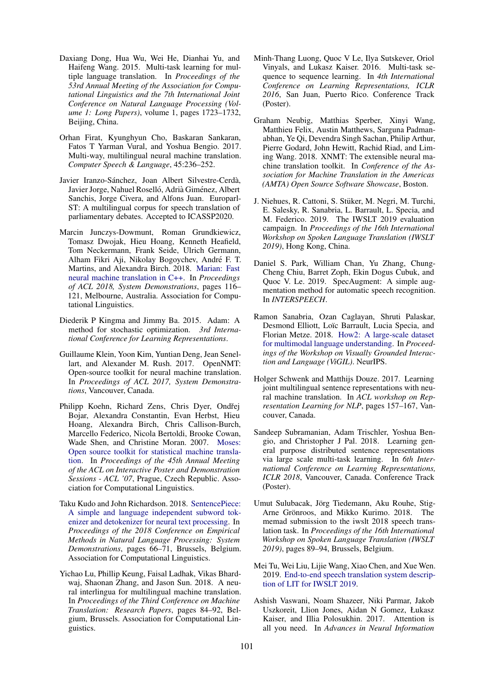- <span id="page-6-7"></span>Daxiang Dong, Hua Wu, Wei He, Dianhai Yu, and Haifeng Wang. 2015. Multi-task learning for multiple language translation. In *Proceedings of the 53rd Annual Meeting of the Association for Computational Linguistics and the 7th International Joint Conference on Natural Language Processing (Volume 1: Long Papers)*, volume 1, pages 1723–1732, Beijing, China.
- <span id="page-6-6"></span>Orhan Firat, Kyunghyun Cho, Baskaran Sankaran, Fatos T Yarman Vural, and Yoshua Bengio. 2017. Multi-way, multilingual neural machine translation. *Computer Speech & Language*, 45:236–252.
- <span id="page-6-12"></span>Javier Iranzo-Sánchez, Joan Albert Silvestre-Cerdà, Javier Jorge, Nahuel Roselló, Adrià Giménez, Albert Sanchis, Jorge Civera, and Alfons Juan. Europarl-ST: A multilingual corpus for speech translation of parliamentary debates. Accepted to ICASSP2020.
- <span id="page-6-11"></span>Marcin Junczys-Dowmunt, Roman Grundkiewicz, Tomasz Dwojak, Hieu Hoang, Kenneth Heafield, Tom Neckermann, Frank Seide, Ulrich Germann, Alham Fikri Aji, Nikolay Bogoychev, Andre F. T. ´ Martins, and Alexandra Birch. 2018. [Marian: Fast](https://doi.org/10.18653/v1/P18-4020) [neural machine translation in C++.](https://doi.org/10.18653/v1/P18-4020) In *Proceedings of ACL 2018, System Demonstrations*, pages 116– 121, Melbourne, Australia. Association for Computational Linguistics.
- <span id="page-6-17"></span>Diederik P Kingma and Jimmy Ba. 2015. Adam: A method for stochastic optimization. *3rd International Conference for Learning Representations*.
- <span id="page-6-8"></span>Guillaume Klein, Yoon Kim, Yuntian Deng, Jean Senellart, and Alexander M. Rush. 2017. OpenNMT: Open-source toolkit for neural machine translation. In *Proceedings of ACL 2017, System Demonstrations*, Vancouver, Canada.
- <span id="page-6-15"></span>Philipp Koehn, Richard Zens, Chris Dyer, Ondřej Bojar, Alexandra Constantin, Evan Herbst, Hieu Hoang, Alexandra Birch, Chris Callison-Burch, Marcello Federico, Nicola Bertoldi, Brooke Cowan, Wade Shen, and Christine Moran. 2007. [Moses:](https://doi.org/10.3115/1557769.1557821) [Open source toolkit for statistical machine transla](https://doi.org/10.3115/1557769.1557821)[tion.](https://doi.org/10.3115/1557769.1557821) In *Proceedings of the 45th Annual Meeting of the ACL on Interactive Poster and Demonstration Sessions - ACL '07*, Prague, Czech Republic. Association for Computational Linguistics.
- <span id="page-6-16"></span>Taku Kudo and John Richardson. 2018. [SentencePiece:](https://www.aclweb.org/anthology/D18-2012) [A simple and language independent subword tok](https://www.aclweb.org/anthology/D18-2012)[enizer and detokenizer for neural text processing.](https://www.aclweb.org/anthology/D18-2012) In *Proceedings of the 2018 Conference on Empirical Methods in Natural Language Processing: System Demonstrations*, pages 66–71, Brussels, Belgium. Association for Computational Linguistics.
- <span id="page-6-2"></span>Yichao Lu, Phillip Keung, Faisal Ladhak, Vikas Bhardwaj, Shaonan Zhang, and Jason Sun. 2018. A neural interlingua for multilingual machine translation. In *Proceedings of the Third Conference on Machine Translation: Research Papers*, pages 84–92, Belgium, Brussels. Association for Computational Linguistics.
- <span id="page-6-4"></span>Minh-Thang Luong, Quoc V Le, Ilya Sutskever, Oriol Vinyals, and Lukasz Kaiser. 2016. Multi-task sequence to sequence learning. In *4th International Conference on Learning Representations, ICLR 2016*, San Juan, Puerto Rico. Conference Track (Poster).
- <span id="page-6-14"></span>Graham Neubig, Matthias Sperber, Xinyi Wang, Matthieu Felix, Austin Matthews, Sarguna Padmanabhan, Ye Qi, Devendra Singh Sachan, Philip Arthur, Pierre Godard, John Hewitt, Rachid Riad, and Liming Wang. 2018. XNMT: The extensible neural machine translation toolkit. In *Conference of the Association for Machine Translation in the Americas (AMTA) Open Source Software Showcase*, Boston.
- <span id="page-6-1"></span>J. Niehues, R. Cattoni, S. Stüker, M. Negri, M. Turchi, E. Salesky, R. Sanabria, L. Barrault, L. Specia, and M. Federico. 2019. The IWSLT 2019 evaluation campaign. In *Proceedings of the 16th International Workshop on Spoken Language Translation (IWSLT 2019)*, Hong Kong, China.
- <span id="page-6-18"></span>Daniel S. Park, William Chan, Yu Zhang, Chung-Cheng Chiu, Barret Zoph, Ekin Dogus Cubuk, and Quoc V. Le. 2019. SpecAugment: A simple augmentation method for automatic speech recognition. In *INTERSPEECH*.
- <span id="page-6-13"></span>Ramon Sanabria, Ozan Caglayan, Shruti Palaskar, Desmond Elliott, Loïc Barrault, Lucia Specia, and Florian Metze. 2018. [How2: A large-scale dataset](http://arxiv.org/abs/1811.00347) [for multimodal language understanding.](http://arxiv.org/abs/1811.00347) In *Proceedings of the Workshop on Visually Grounded Interaction and Language (ViGIL)*. NeurIPS.
- <span id="page-6-3"></span>Holger Schwenk and Matthijs Douze. 2017. Learning joint multilingual sentence representations with neural machine translation. In *ACL workshop on Representation Learning for NLP*, pages 157–167, Vancouver, Canada.
- <span id="page-6-5"></span>Sandeep Subramanian, Adam Trischler, Yoshua Bengio, and Christopher J Pal. 2018. Learning general purpose distributed sentence representations via large scale multi-task learning. In *6th International Conference on Learning Representations, ICLR 2018*, Vancouver, Canada. Conference Track (Poster).
- <span id="page-6-0"></span>Umut Sulubacak, Jörg Tiedemann, Aku Rouhe, Stig-Arne Grönroos, and Mikko Kurimo. 2018. The memad submission to the iwslt 2018 speech translation task. In *Proceedings of the 16th International Workshop on Spoken Language Translation (IWSLT 2019)*, pages 89–94, Brussels, Belgium.
- <span id="page-6-10"></span>Mei Tu, Wei Liu, Lijie Wang, Xiao Chen, and Xue Wen. 2019. [End-to-end speech translation system descrip](https://doi.org/10.5281/zenodo.3525548)[tion of LIT for IWSLT 2019.](https://doi.org/10.5281/zenodo.3525548)
- <span id="page-6-9"></span>Ashish Vaswani, Noam Shazeer, Niki Parmar, Jakob Uszkoreit, Llion Jones, Aidan N Gomez, Łukasz Kaiser, and Illia Polosukhin. 2017. Attention is all you need. In *Advances in Neural Information*